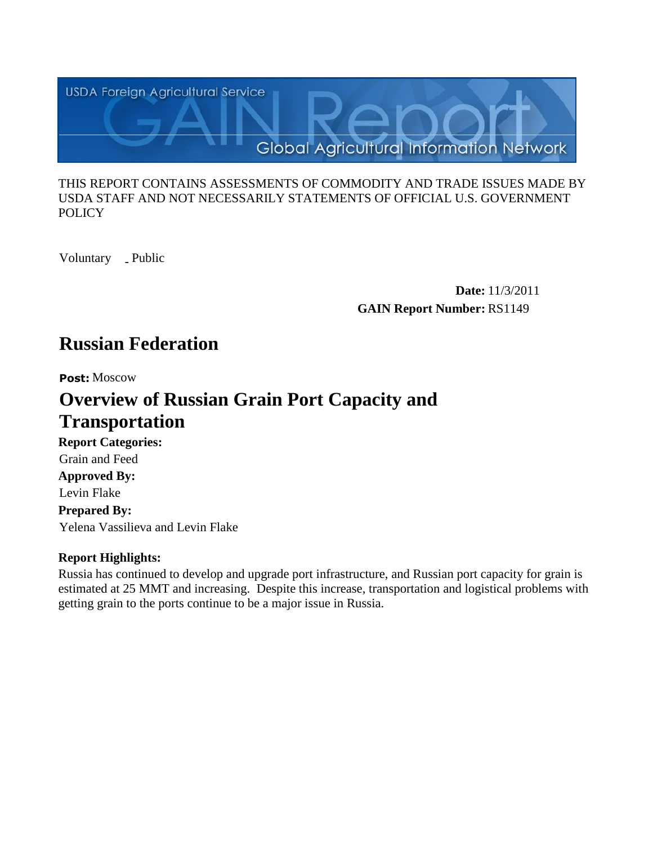

#### THIS REPORT CONTAINS ASSESSMENTS OF COMMODITY AND TRADE ISSUES MADE BY USDA STAFF AND NOT NECESSARILY STATEMENTS OF OFFICIAL U.S. GOVERNMENT **POLICY**

Voluntary \_ Public

**Date:** 11/3/2011 **GAIN Report Number:** RS1149

# **Russian Federation**

**Post:** Moscow

# **Overview of Russian Grain Port Capacity and Transportation**

**Report Categories: Approved By: Prepared By:**  Yelena Vassilieva and Levin Flake Levin Flake Grain and Feed

### **Report Highlights:**

Russia has continued to develop and upgrade port infrastructure, and Russian port capacity for grain is estimated at 25 MMT and increasing. Despite this increase, transportation and logistical problems with getting grain to the ports continue to be a major issue in Russia.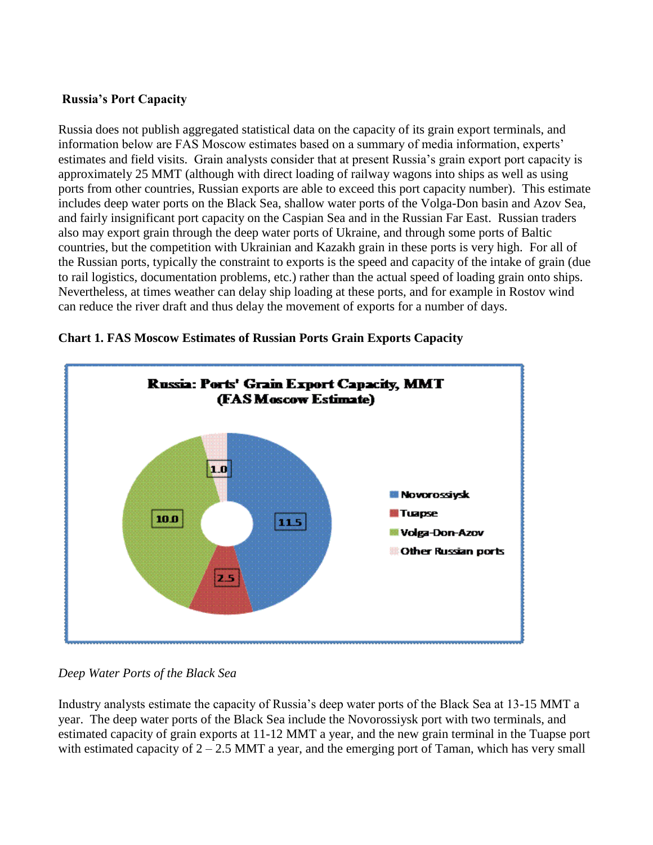#### **Russia's Port Capacity**

Russia does not publish aggregated statistical data on the capacity of its grain export terminals, and information below are FAS Moscow estimates based on a summary of media information, experts' estimates and field visits. Grain analysts consider that at present Russia's grain export port capacity is approximately 25 MMT (although with direct loading of railway wagons into ships as well as using ports from other countries, Russian exports are able to exceed this port capacity number). This estimate includes deep water ports on the Black Sea, shallow water ports of the Volga-Don basin and Azov Sea, and fairly insignificant port capacity on the Caspian Sea and in the Russian Far East. Russian traders also may export grain through the deep water ports of Ukraine, and through some ports of Baltic countries, but the competition with Ukrainian and Kazakh grain in these ports is very high. For all of the Russian ports, typically the constraint to exports is the speed and capacity of the intake of grain (due to rail logistics, documentation problems, etc.) rather than the actual speed of loading grain onto ships. Nevertheless, at times weather can delay ship loading at these ports, and for example in Rostov wind can reduce the river draft and thus delay the movement of exports for a number of days.



**Chart 1. FAS Moscow Estimates of Russian Ports Grain Exports Capacity**

*Deep Water Ports of the Black Sea*

Industry analysts estimate the capacity of Russia's deep water ports of the Black Sea at 13-15 MMT a year. The deep water ports of the Black Sea include the Novorossiysk port with two terminals, and estimated capacity of grain exports at 11-12 MMT a year, and the new grain terminal in the Tuapse port with estimated capacity of  $2 - 2.5$  MMT a year, and the emerging port of Taman, which has very small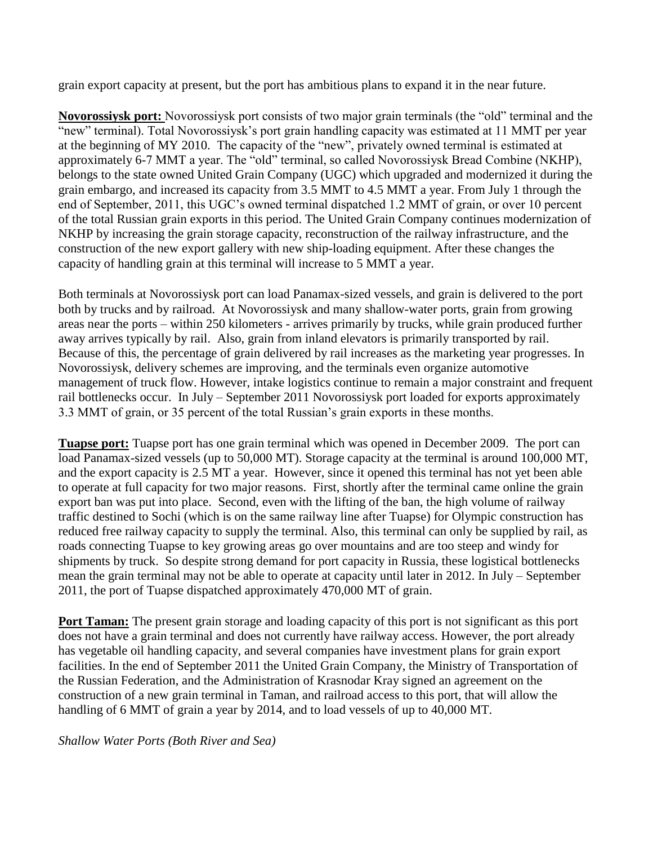grain export capacity at present, but the port has ambitious plans to expand it in the near future.

**Novorossiysk port:** Novorossiysk port consists of two major grain terminals (the "old" terminal and the "new" terminal). Total Novorossiysk's port grain handling capacity was estimated at 11 MMT per year at the beginning of MY 2010. The capacity of the "new", privately owned terminal is estimated at approximately 6-7 MMT a year. The "old" terminal, so called Novorossiysk Bread Combine (NKHP), belongs to the state owned United Grain Company (UGC) which upgraded and modernized it during the grain embargo, and increased its capacity from 3.5 MMT to 4.5 MMT a year. From July 1 through the end of September, 2011, this UGC's owned terminal dispatched 1.2 MMT of grain, or over 10 percent of the total Russian grain exports in this period. The United Grain Company continues modernization of NKHP by increasing the grain storage capacity, reconstruction of the railway infrastructure, and the construction of the new export gallery with new ship-loading equipment. After these changes the capacity of handling grain at this terminal will increase to 5 MMT a year.

Both terminals at Novorossiysk port can load Panamax-sized vessels, and grain is delivered to the port both by trucks and by railroad. At Novorossiysk and many shallow-water ports, grain from growing areas near the ports – within 250 kilometers - arrives primarily by trucks, while grain produced further away arrives typically by rail. Also, grain from inland elevators is primarily transported by rail. Because of this, the percentage of grain delivered by rail increases as the marketing year progresses. In Novorossiysk, delivery schemes are improving, and the terminals even organize automotive management of truck flow. However, intake logistics continue to remain a major constraint and frequent rail bottlenecks occur. In July – September 2011 Novorossiysk port loaded for exports approximately 3.3 MMT of grain, or 35 percent of the total Russian's grain exports in these months.

**Tuapse port:** Tuapse port has one grain terminal which was opened in December 2009. The port can load Panamax-sized vessels (up to 50,000 MT). Storage capacity at the terminal is around 100,000 MT, and the export capacity is 2.5 MT a year. However, since it opened this terminal has not yet been able to operate at full capacity for two major reasons. First, shortly after the terminal came online the grain export ban was put into place. Second, even with the lifting of the ban, the high volume of railway traffic destined to Sochi (which is on the same railway line after Tuapse) for Olympic construction has reduced free railway capacity to supply the terminal. Also, this terminal can only be supplied by rail, as roads connecting Tuapse to key growing areas go over mountains and are too steep and windy for shipments by truck. So despite strong demand for port capacity in Russia, these logistical bottlenecks mean the grain terminal may not be able to operate at capacity until later in 2012. In July – September 2011, the port of Tuapse dispatched approximately 470,000 MT of grain.

**Port Taman:** The present grain storage and loading capacity of this port is not significant as this port does not have a grain terminal and does not currently have railway access. However, the port already has vegetable oil handling capacity, and several companies have investment plans for grain export facilities. In the end of September 2011 the United Grain Company, the Ministry of Transportation of the Russian Federation, and the Administration of Krasnodar Kray signed an agreement on the construction of a new grain terminal in Taman, and railroad access to this port, that will allow the handling of 6 MMT of grain a year by 2014, and to load vessels of up to 40,000 MT.

*Shallow Water Ports (Both River and Sea)*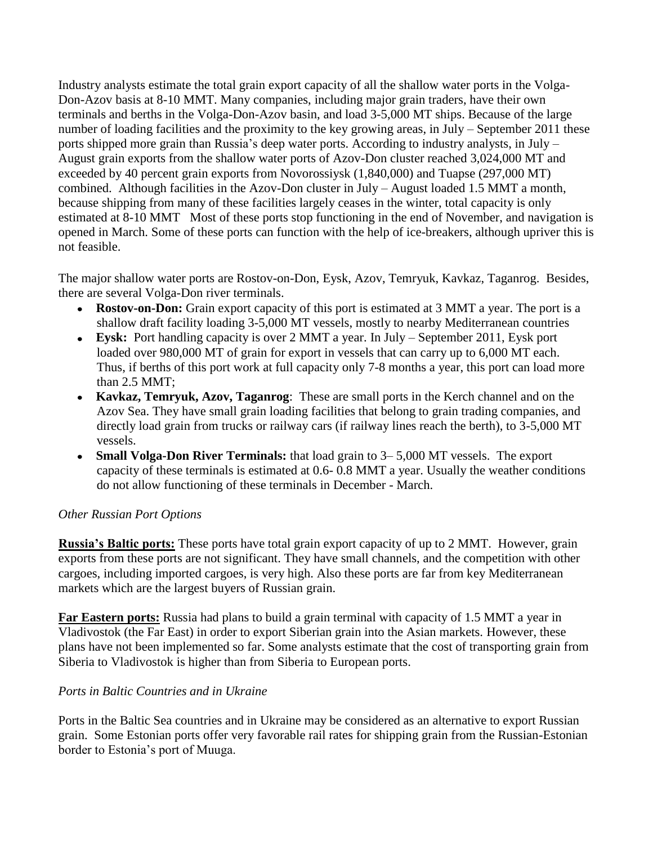Industry analysts estimate the total grain export capacity of all the shallow water ports in the Volga-Don-Azov basis at 8-10 MMT. Many companies, including major grain traders, have their own terminals and berths in the Volga-Don-Azov basin, and load 3-5,000 MT ships. Because of the large number of loading facilities and the proximity to the key growing areas, in July – September 2011 these ports shipped more grain than Russia's deep water ports. According to industry analysts, in July – August grain exports from the shallow water ports of Azov-Don cluster reached 3,024,000 MT and exceeded by 40 percent grain exports from Novorossiysk (1,840,000) and Tuapse (297,000 MT) combined. Although facilities in the Azov-Don cluster in July – August loaded 1.5 MMT a month, because shipping from many of these facilities largely ceases in the winter, total capacity is only estimated at 8-10 MMT Most of these ports stop functioning in the end of November, and navigation is opened in March. Some of these ports can function with the help of ice-breakers, although upriver this is not feasible.

The major shallow water ports are Rostov-on-Don, Eysk, Azov, Temryuk, Kavkaz, Taganrog. Besides, there are several Volga-Don river terminals.

- **Rostov-on-Don:** Grain export capacity of this port is estimated at 3 MMT a year. The port is a shallow draft facility loading 3-5,000 MT vessels, mostly to nearby Mediterranean countries
- **Eysk:** Port handling capacity is over 2 MMT a year. In July September 2011, Eysk port loaded over 980,000 MT of grain for export in vessels that can carry up to 6,000 MT each. Thus, if berths of this port work at full capacity only 7-8 months a year, this port can load more than 2.5 MMT;
- **Kavkaz, Temryuk, Azov, Taganrog**: These are small ports in the Kerch channel and on the Azov Sea. They have small grain loading facilities that belong to grain trading companies, and directly load grain from trucks or railway cars (if railway lines reach the berth), to 3-5,000 MT vessels.
- **Small Volga-Don River Terminals:** that load grain to 3– 5,000 MT vessels. The export capacity of these terminals is estimated at 0.6- 0.8 MMT a year. Usually the weather conditions do not allow functioning of these terminals in December - March.

### *Other Russian Port Options*

**Russia's Baltic ports:** These ports have total grain export capacity of up to 2 MMT. However, grain exports from these ports are not significant. They have small channels, and the competition with other cargoes, including imported cargoes, is very high. Also these ports are far from key Mediterranean markets which are the largest buyers of Russian grain.

**Far Eastern ports:** Russia had plans to build a grain terminal with capacity of 1.5 MMT a year in Vladivostok (the Far East) in order to export Siberian grain into the Asian markets. However, these plans have not been implemented so far. Some analysts estimate that the cost of transporting grain from Siberia to Vladivostok is higher than from Siberia to European ports.

### *Ports in Baltic Countries and in Ukraine*

Ports in the Baltic Sea countries and in Ukraine may be considered as an alternative to export Russian grain. Some Estonian ports offer very favorable rail rates for shipping grain from the Russian-Estonian border to Estonia's port of Muuga.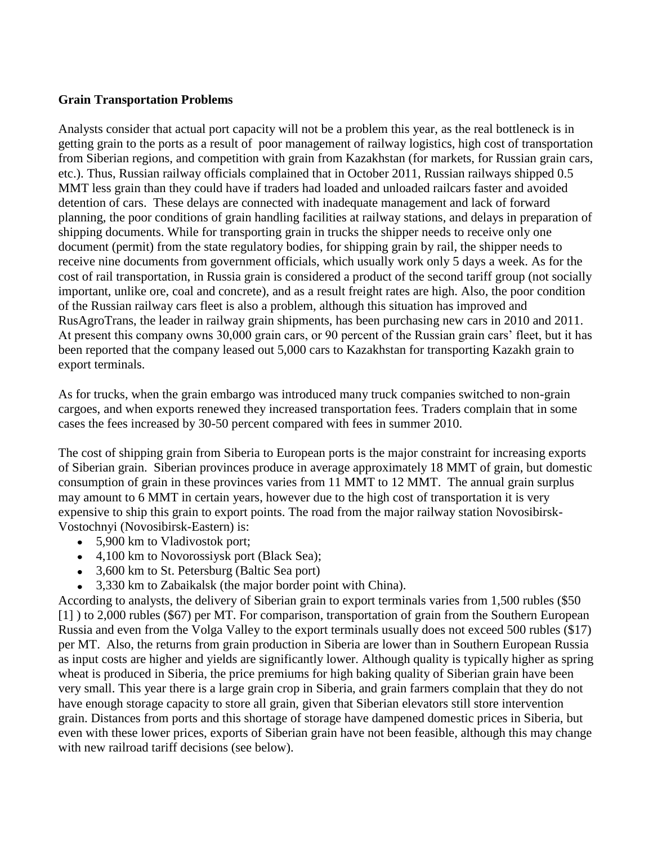#### **Grain Transportation Problems**

Analysts consider that actual port capacity will not be a problem this year, as the real bottleneck is in getting grain to the ports as a result of poor management of railway logistics, high cost of transportation from Siberian regions, and competition with grain from Kazakhstan (for markets, for Russian grain cars, etc.). Thus, Russian railway officials complained that in October 2011, Russian railways shipped 0.5 MMT less grain than they could have if traders had loaded and unloaded railcars faster and avoided detention of cars. These delays are connected with inadequate management and lack of forward planning, the poor conditions of grain handling facilities at railway stations, and delays in preparation of shipping documents. While for transporting grain in trucks the shipper needs to receive only one document (permit) from the state regulatory bodies, for shipping grain by rail, the shipper needs to receive nine documents from government officials, which usually work only 5 days a week. As for the cost of rail transportation, in Russia grain is considered a product of the second tariff group (not socially important, unlike ore, coal and concrete), and as a result freight rates are high. Also, the poor condition of the Russian railway cars fleet is also a problem, although this situation has improved and RusAgroTrans, the leader in railway grain shipments, has been purchasing new cars in 2010 and 2011. At present this company owns 30,000 grain cars, or 90 percent of the Russian grain cars' fleet, but it has been reported that the company leased out 5,000 cars to Kazakhstan for transporting Kazakh grain to export terminals.

As for trucks, when the grain embargo was introduced many truck companies switched to non-grain cargoes, and when exports renewed they increased transportation fees. Traders complain that in some cases the fees increased by 30-50 percent compared with fees in summer 2010.

The cost of shipping grain from Siberia to European ports is the major constraint for increasing exports of Siberian grain. Siberian provinces produce in average approximately 18 MMT of grain, but domestic consumption of grain in these provinces varies from 11 MMT to 12 MMT. The annual grain surplus may amount to 6 MMT in certain years, however due to the high cost of transportation it is very expensive to ship this grain to export points. The road from the major railway station Novosibirsk-Vostochnyi (Novosibirsk-Eastern) is:

- 5,900 km to Vladivostok port;
- 4,100 km to Novorossiysk port (Black Sea);
- 3,600 km to St. Petersburg (Baltic Sea port)
- 3,330 km to Zabaikalsk (the major border point with China).

According to analysts, the delivery of Siberian grain to export terminals varies from 1,500 rubles (\$50 [1] ) to 2,000 rubles (\$67) per MT. For comparison, transportation of grain from the Southern European Russia and even from the Volga Valley to the export terminals usually does not exceed 500 rubles (\$17) per MT. Also, the returns from grain production in Siberia are lower than in Southern European Russia as input costs are higher and yields are significantly lower. Although quality is typically higher as spring wheat is produced in Siberia, the price premiums for high baking quality of Siberian grain have been very small. This year there is a large grain crop in Siberia, and grain farmers complain that they do not have enough storage capacity to store all grain, given that Siberian elevators still store intervention grain. Distances from ports and this shortage of storage have dampened domestic prices in Siberia, but even with these lower prices, exports of Siberian grain have not been feasible, although this may change with new railroad tariff decisions (see below).